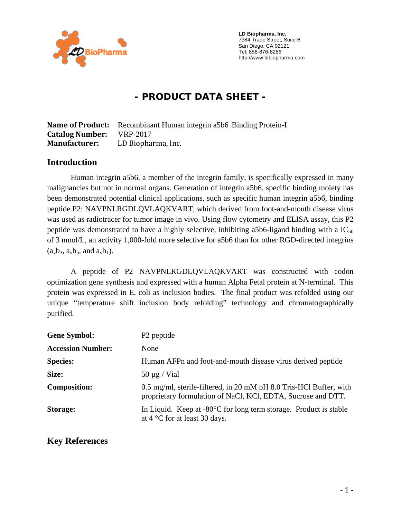

 **LD Biopharma, Inc.**  7384 Trade Street, Suite B San Diego, CA 92121 Tel: 858-876-8266 http://www.ldbiopharma.com

# **- PRODUCT DATA SHEET -**

|                                 | <b>Name of Product:</b> Recombinant Human integrin a5b6 Binding Protein-I |
|---------------------------------|---------------------------------------------------------------------------|
| <b>Catalog Number:</b> VRP-2017 |                                                                           |
| <b>Manufacturer:</b>            | LD Biopharma, Inc.                                                        |

#### **Introduction**

Human integrin a5b6, a member of the integrin family, is specifically expressed in many malignancies but not in normal organs. Generation of integrin a5b6, specific binding moiety has been demonstrated potential clinical applications, such as specific human integrin a5b6, binding peptide P2: NAVPNLRGDLQVLAQKVART, which derived from foot-and-mouth disease virus was used as radiotracer for tumor image in vivo. Using flow cytometry and ELISA assay, this P2 peptide was demonstrated to have a highly selective, inhibiting a5b6-ligand binding with a  $IC_{50}$ of 3 nmol/L, an activity 1,000-fold more selective for a5b6 than for other RGD-directed integrins  $(a_v b_3, a_v b_5,$  and  $a_v b_1$ ).

A peptide of P2 NAVPNLRGDLQVLAQKVART was constructed with codon optimization gene synthesis and expressed with a human Alpha Fetal protein at N-terminal. This protein was expressed in E. coli as inclusion bodies. The final product was refolded using our unique "temperature shift inclusion body refolding" technology and chromatographically purified.

| <b>Gene Symbol:</b>      | P <sub>2</sub> peptide                                                                                                             |
|--------------------------|------------------------------------------------------------------------------------------------------------------------------------|
| <b>Accession Number:</b> | None                                                                                                                               |
| <b>Species:</b>          | Human AFPn and foot-and-mouth disease virus derived peptide                                                                        |
| Size:                    | $50 \mu g$ / Vial                                                                                                                  |
| <b>Composition:</b>      | 0.5 mg/ml, sterile-filtered, in 20 mM pH 8.0 Tris-HCl Buffer, with<br>proprietary formulation of NaCl, KCl, EDTA, Sucrose and DTT. |
| Storage:                 | In Liquid. Keep at $-80^{\circ}$ C for long term storage. Product is stable<br>at $4^{\circ}$ C for at least 30 days.              |

### **Key References**